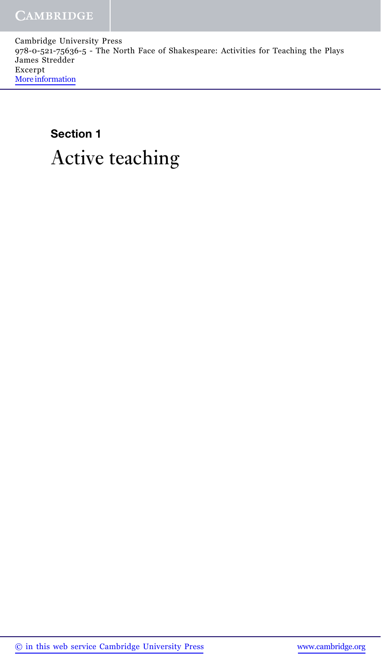# **Section 1** Active teaching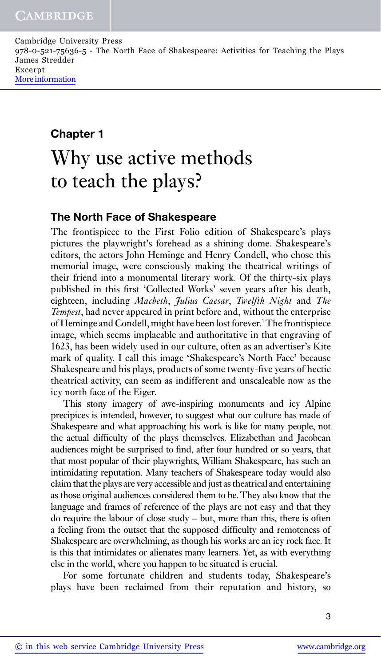## **Chapter 1**

# Why use active methods to teach the plays?

## **The North Face of Shakespeare**

The frontispiece to the First Folio edition of Shakespeare's plays pictures the playwright's forehead as a shining dome. Shakespeare's editors, the actors John Heminge and Henry Condell, who chose this memorial image, were consciously making the theatrical writings of their friend into a monumental literary work. Of the thirty-six plays published in this first 'Collected Works' seven years after his death, eighteen, including *Macbeth*, *Julius Caesar*, *Twelfth Night* and *The Tempest*, had never appeared in print before and, without the enterprise of Heminge and Condell, might have been lost forever.<sup>1</sup> The frontispiece image, which seems implacable and authoritative in that engraving of 1623, has been widely used in our culture, often as an advertiser's Kite mark of quality. I call this image 'Shakespeare's North Face' because Shakespeare and his plays, products of some twenty-five years of hectic theatrical activity, can seem as indifferent and unscaleable now as the icy north face of the Eiger.

This stony imagery of awe-inspiring monuments and icy Alpine precipices is intended, however, to suggest what our culture has made of Shakespeare and what approaching his work is like for many people, not the actual difficulty of the plays themselves. Elizabethan and Jacobean audiences might be surprised to find, after four hundred or so years, that that most popular of their playwrights, William Shakespeare, has such an intimidating reputation. Many teachers of Shakespeare today would also claim that the plays are very accessible and just as theatrical and entertaining as those original audiences considered them to be. They also know that the language and frames of reference of the plays are not easy and that they do require the labour of close study – but, more than this, there is often a feeling from the outset that the supposed difficulty and remoteness of Shakespeare are overwhelming, as though his works are an icy rock face. It is this that intimidates or alienates many learners. Yet, as with everything else in the world, where you happen to be situated is crucial.

For some fortunate children and students today, Shakespeare's plays have been reclaimed from their reputation and history, so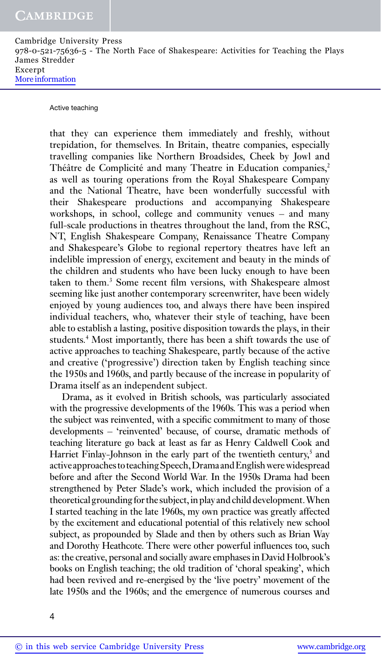#### Active teaching

that they can experience them immediately and freshly, without trepidation, for themselves. In Britain, theatre companies, especially travelling companies like Northern Broadsides, Cheek by Jowl and Théâtre de Complicité and many Theatre in Education companies,<sup>2</sup> as well as touring operations from the Royal Shakespeare Company and the National Theatre, have been wonderfully successful with their Shakespeare productions and accompanying Shakespeare workshops, in school, college and community venues – and many full-scale productions in theatres throughout the land, from the RSC, NT, English Shakespeare Company, Renaissance Theatre Company and Shakespeare's Globe to regional repertory theatres have left an indelible impression of energy, excitement and beauty in the minds of the children and students who have been lucky enough to have been taken to them.3 Some recent film versions, with Shakespeare almost seeming like just another contemporary screenwriter, have been widely enjoyed by young audiences too, and always there have been inspired individual teachers, who, whatever their style of teaching, have been able to establish a lasting, positive disposition towards the plays, in their students.<sup>4</sup> Most importantly, there has been a shift towards the use of active approaches to teaching Shakespeare, partly because of the active and creative ('progressive') direction taken by English teaching since the 1950s and 1960s, and partly because of the increase in popularity of Drama itself as an independent subject.

Drama, as it evolved in British schools, was particularly associated with the progressive developments of the 1960s. This was a period when the subject was reinvented, with a specific commitment to many of those developments – 'reinvented' because, of course, dramatic methods of teaching literature go back at least as far as Henry Caldwell Cook and Harriet Finlay-Johnson in the early part of the twentieth century,<sup>5</sup> and active approaches to teaching Speech, Drama and English were widespread before and after the Second World War. In the 1950s Drama had been strengthened by Peter Slade's work, which included the provision of a theoretical grounding for the subject, in play and child development. When I started teaching in the late 1960s, my own practice was greatly affected by the excitement and educational potential of this relatively new school subject, as propounded by Slade and then by others such as Brian Way and Dorothy Heathcote. There were other powerful influences too, such as: the creative, personal and socially aware emphases in David Holbrook's books on English teaching; the old tradition of 'choral speaking', which had been revived and re-energised by the 'live poetry' movement of the late 1950s and the 1960s; and the emergence of numerous courses and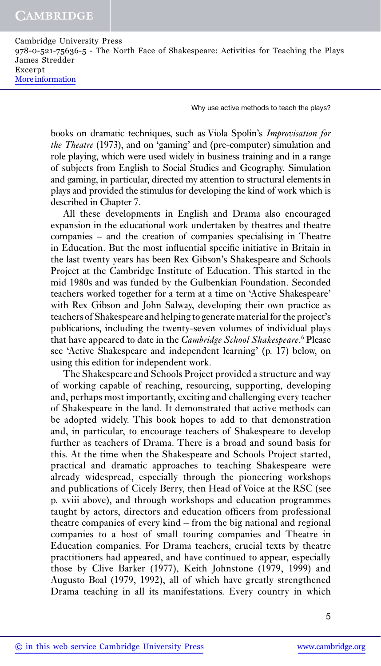Why use active methods to teach the plays?

books on dramatic techniques, such as Viola Spolin's *Improvisation for the Theatre* (1973), and on 'gaming' and (pre-computer) simulation and role playing, which were used widely in business training and in a range of subjects from English to Social Studies and Geography. Simulation and gaming, in particular, directed my attention to structural elements in plays and provided the stimulus for developing the kind of work which is described in Chapter 7.

All these developments in English and Drama also encouraged expansion in the educational work undertaken by theatres and theatre companies – and the creation of companies specialising in Theatre in Education. But the most influential specific initiative in Britain in the last twenty years has been Rex Gibson's Shakespeare and Schools Project at the Cambridge Institute of Education. This started in the mid 1980s and was funded by the Gulbenkian Foundation. Seconded teachers worked together for a term at a time on 'Active Shakespeare' with Rex Gibson and John Salway, developing their own practice as teachers of Shakespeare and helping to generate material for the project's publications, including the twenty-seven volumes of individual plays that have appeared to date in the *Cambridge School Shakespeare*.<sup>6</sup> Please see 'Active Shakespeare and independent learning' (p. 17) below, on using this edition for independent work.

The Shakespeare and Schools Project provided a structure and way of working capable of reaching, resourcing, supporting, developing and, perhaps most importantly, exciting and challenging every teacher of Shakespeare in the land. It demonstrated that active methods can be adopted widely. This book hopes to add to that demonstration and, in particular, to encourage teachers of Shakespeare to develop further as teachers of Drama. There is a broad and sound basis for this. At the time when the Shakespeare and Schools Project started, practical and dramatic approaches to teaching Shakespeare were already widespread, especially through the pioneering workshops and publications of Cicely Berry, then Head of Voice at the RSC (see p. xviii above), and through workshops and education programmes taught by actors, directors and education officers from professional theatre companies of every kind – from the big national and regional companies to a host of small touring companies and Theatre in Education companies. For Drama teachers, crucial texts by theatre practitioners had appeared, and have continued to appear, especially those by Clive Barker (1977), Keith Johnstone (1979, 1999) and Augusto Boal (1979, 1992), all of which have greatly strengthened Drama teaching in all its manifestations. Every country in which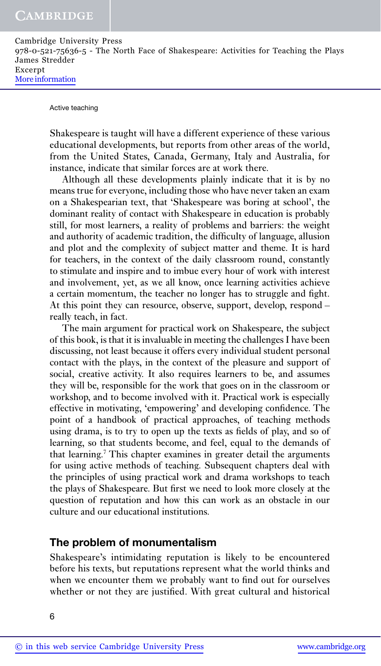#### Active teaching

Shakespeare is taught will have a different experience of these various educational developments, but reports from other areas of the world, from the United States, Canada, Germany, Italy and Australia, for instance, indicate that similar forces are at work there.

Although all these developments plainly indicate that it is by no means true for everyone, including those who have never taken an exam on a Shakespearian text, that 'Shakespeare was boring at school', the dominant reality of contact with Shakespeare in education is probably still, for most learners, a reality of problems and barriers: the weight and authority of academic tradition, the difficulty of language, allusion and plot and the complexity of subject matter and theme. It is hard for teachers, in the context of the daily classroom round, constantly to stimulate and inspire and to imbue every hour of work with interest and involvement, yet, as we all know, once learning activities achieve a certain momentum, the teacher no longer has to struggle and fight. At this point they can resource, observe, support, develop, respond – really teach, in fact.

The main argument for practical work on Shakespeare, the subject of this book, is that it is invaluable in meeting the challenges I have been discussing, not least because it offers every individual student personal contact with the plays, in the context of the pleasure and support of social, creative activity. It also requires learners to be, and assumes they will be, responsible for the work that goes on in the classroom or workshop, and to become involved with it. Practical work is especially effective in motivating, 'empowering' and developing confidence. The point of a handbook of practical approaches, of teaching methods using drama, is to try to open up the texts as fields of play, and so of learning, so that students become, and feel, equal to the demands of that learning.7 This chapter examines in greater detail the arguments for using active methods of teaching. Subsequent chapters deal with the principles of using practical work and drama workshops to teach the plays of Shakespeare. But first we need to look more closely at the question of reputation and how this can work as an obstacle in our culture and our educational institutions.

### **The problem of monumentalism**

Shakespeare's intimidating reputation is likely to be encountered before his texts, but reputations represent what the world thinks and when we encounter them we probably want to find out for ourselves whether or not they are justified. With great cultural and historical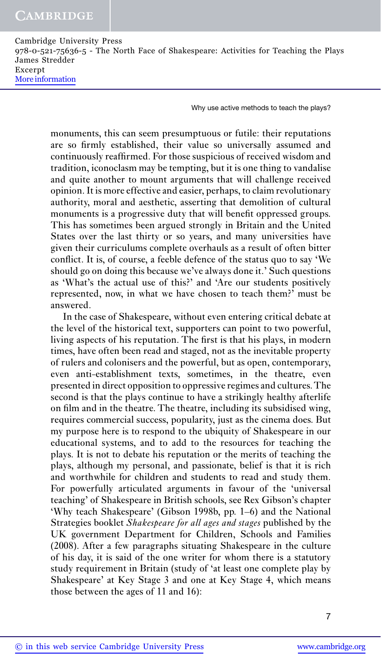Why use active methods to teach the plays?

monuments, this can seem presumptuous or futile: their reputations are so firmly established, their value so universally assumed and continuously reaffirmed. For those suspicious of received wisdom and tradition, iconoclasm may be tempting, but it is one thing to vandalise and quite another to mount arguments that will challenge received opinion. It is more effective and easier, perhaps, to claim revolutionary authority, moral and aesthetic, asserting that demolition of cultural monuments is a progressive duty that will benefit oppressed groups. This has sometimes been argued strongly in Britain and the United States over the last thirty or so years, and many universities have given their curriculums complete overhauls as a result of often bitter conflict. It is, of course, a feeble defence of the status quo to say 'We should go on doing this because we've always done it.' Such questions as 'What's the actual use of this?' and 'Are our students positively represented, now, in what we have chosen to teach them?' must be answered.

In the case of Shakespeare, without even entering critical debate at the level of the historical text, supporters can point to two powerful, living aspects of his reputation. The first is that his plays, in modern times, have often been read and staged, not as the inevitable property of rulers and colonisers and the powerful, but as open, contemporary, even anti-establishment texts, sometimes, in the theatre, even presented in direct opposition to oppressive regimes and cultures. The second is that the plays continue to have a strikingly healthy afterlife on film and in the theatre. The theatre, including its subsidised wing, requires commercial success, popularity, just as the cinema does. But my purpose here is to respond to the ubiquity of Shakespeare in our educational systems, and to add to the resources for teaching the plays. It is not to debate his reputation or the merits of teaching the plays, although my personal, and passionate, belief is that it is rich and worthwhile for children and students to read and study them. For powerfully articulated arguments in favour of the 'universal teaching' of Shakespeare in British schools, see Rex Gibson's chapter 'Why teach Shakespeare' (Gibson 1998b, pp. 1–6) and the National Strategies booklet *Shakespeare for all ages and stages* published by the UK government Department for Children, Schools and Families (2008). After a few paragraphs situating Shakespeare in the culture of his day, it is said of the one writer for whom there is a statutory study requirement in Britain (study of 'at least one complete play by Shakespeare' at Key Stage 3 and one at Key Stage 4, which means those between the ages of 11 and 16):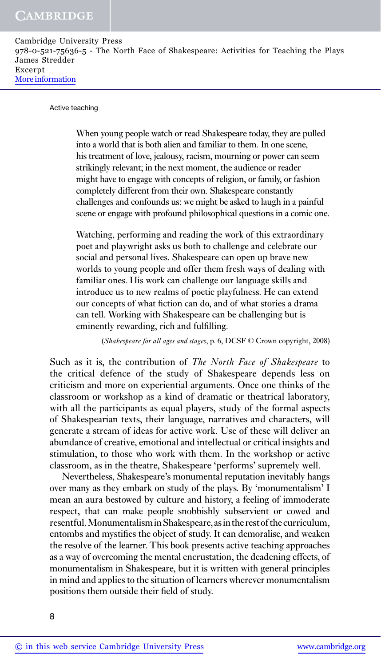#### Active teaching

When young people watch or read Shakespeare today, they are pulled into a world that is both alien and familiar to them. In one scene, his treatment of love, jealousy, racism, mourning or power can seem strikingly relevant; in the next moment, the audience or reader might have to engage with concepts of religion, or family, or fashion completely different from their own. Shakespeare constantly challenges and confounds us: we might be asked to laugh in a painful scene or engage with profound philosophical questions in a comic one.

Watching, performing and reading the work of this extraordinary poet and playwright asks us both to challenge and celebrate our social and personal lives. Shakespeare can open up brave new worlds to young people and offer them fresh ways of dealing with familiar ones. His work can challenge our language skills and introduce us to new realms of poetic playfulness. He can extend our concepts of what fiction can do, and of what stories a drama can tell. Working with Shakespeare can be challenging but is eminently rewarding, rich and fulfilling.

(*Shakespeare for all ages and stages*, p. 6, DCSF © Crown copyright, 2008)

Such as it is, the contribution of *The North Face of Shakespeare* to the critical defence of the study of Shakespeare depends less on criticism and more on experiential arguments. Once one thinks of the classroom or workshop as a kind of dramatic or theatrical laboratory, with all the participants as equal players, study of the formal aspects of Shakespearian texts, their language, narratives and characters, will generate a stream of ideas for active work. Use of these will deliver an abundance of creative, emotional and intellectual or critical insights and stimulation, to those who work with them. In the workshop or active classroom, as in the theatre, Shakespeare 'performs' supremely well.

Nevertheless, Shakespeare's monumental reputation inevitably hangs over many as they embark on study of the plays. By 'monumentalism' I mean an aura bestowed by culture and history, a feeling of immoderate respect, that can make people snobbishly subservient or cowed and resentful. Monumentalism in Shakespeare, as in the rest of the curriculum, entombs and mystifies the object of study. It can demoralise, and weaken the resolve of the learner. This book presents active teaching approaches as a way of overcoming the mental encrustation, the deadening effects, of monumentalism in Shakespeare, but it is written with general principles in mind and applies to the situation of learners wherever monumentalism positions them outside their field of study.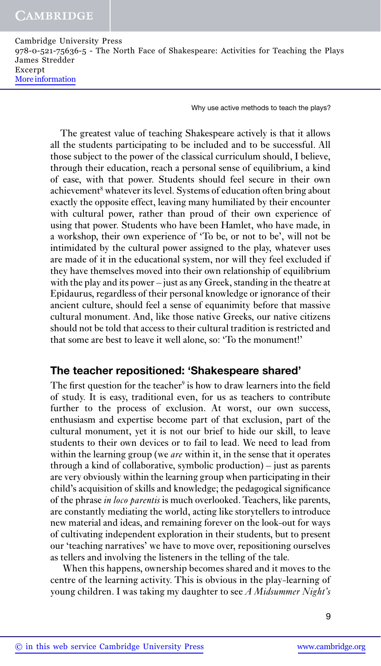Why use active methods to teach the plays?

The greatest value of teaching Shakespeare actively is that it allows all the students participating to be included and to be successful. All those subject to the power of the classical curriculum should, I believe, through their education, reach a personal sense of equilibrium, a kind of ease, with that power. Students should feel secure in their own achievement<sup>8</sup> whatever its level. Systems of education often bring about exactly the opposite effect, leaving many humiliated by their encounter with cultural power, rather than proud of their own experience of using that power. Students who have been Hamlet, who have made, in a workshop, their own experience of 'To be, or not to be', will not be intimidated by the cultural power assigned to the play, whatever uses are made of it in the educational system, nor will they feel excluded if they have themselves moved into their own relationship of equilibrium with the play and its power – just as any Greek, standing in the theatre at Epidaurus, regardless of their personal knowledge or ignorance of their ancient culture, should feel a sense of equanimity before that massive cultural monument. And, like those native Greeks, our native citizens should not be told that access to their cultural tradition is restricted and that some are best to leave it well alone, so: 'To the monument!'

### **The teacher repositioned: 'Shakespeare shared'**

The first question for the teacher $9$  is how to draw learners into the field of study. It is easy, traditional even, for us as teachers to contribute further to the process of exclusion. At worst, our own success, enthusiasm and expertise become part of that exclusion, part of the cultural monument, yet it is not our brief to hide our skill, to leave students to their own devices or to fail to lead. We need to lead from within the learning group (we *are* within it, in the sense that it operates through a kind of collaborative, symbolic production) – just as parents are very obviously within the learning group when participating in their child's acquisition of skills and knowledge; the pedagogical significance of the phrase *in loco parentis* is much overlooked. Teachers, like parents, are constantly mediating the world, acting like storytellers to introduce new material and ideas, and remaining forever on the look-out for ways of cultivating independent exploration in their students, but to present our 'teaching narratives' we have to move over, repositioning ourselves as tellers and involving the listeners in the telling of the tale.

When this happens, ownership becomes shared and it moves to the centre of the learning activity. This is obvious in the play-learning of young children. I was taking my daughter to see *A Midsummer Night's*